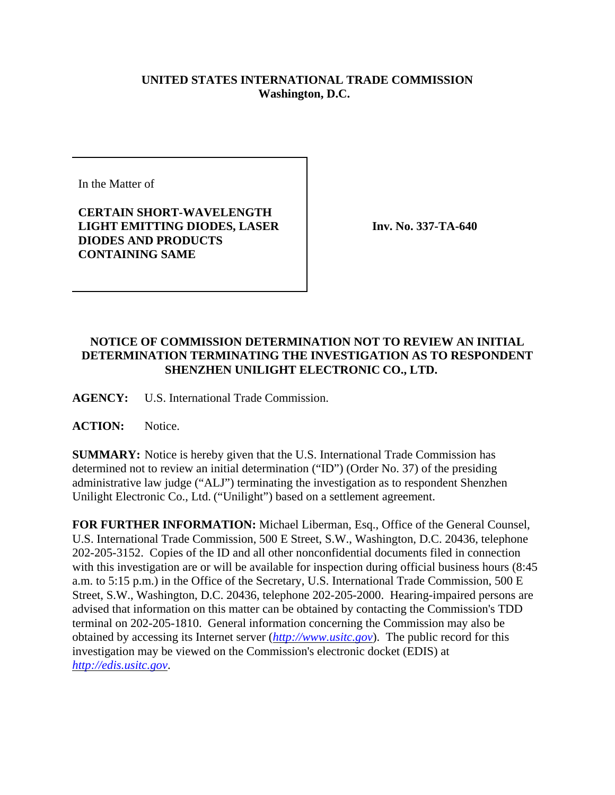## **UNITED STATES INTERNATIONAL TRADE COMMISSION Washington, D.C.**

In the Matter of

## **CERTAIN SHORT-WAVELENGTH LIGHT EMITTING DIODES, LASER DIODES AND PRODUCTS CONTAINING SAME**

**Inv. No. 337-TA-640**

## **NOTICE OF COMMISSION DETERMINATION NOT TO REVIEW AN INITIAL DETERMINATION TERMINATING THE INVESTIGATION AS TO RESPONDENT SHENZHEN UNILIGHT ELECTRONIC CO., LTD.**

**AGENCY:** U.S. International Trade Commission.

ACTION: Notice.

**SUMMARY:** Notice is hereby given that the U.S. International Trade Commission has determined not to review an initial determination ("ID") (Order No. 37) of the presiding administrative law judge ("ALJ") terminating the investigation as to respondent Shenzhen Unilight Electronic Co., Ltd. ("Unilight") based on a settlement agreement.

**FOR FURTHER INFORMATION:** Michael Liberman, Esq., Office of the General Counsel, U.S. International Trade Commission, 500 E Street, S.W., Washington, D.C. 20436, telephone 202-205-3152. Copies of the ID and all other nonconfidential documents filed in connection with this investigation are or will be available for inspection during official business hours (8:45 a.m. to 5:15 p.m.) in the Office of the Secretary, U.S. International Trade Commission, 500 E Street, S.W., Washington, D.C. 20436, telephone 202-205-2000. Hearing-impaired persons are advised that information on this matter can be obtained by contacting the Commission's TDD terminal on 202-205-1810. General information concerning the Commission may also be obtained by accessing its Internet server (*http://www.usitc.gov*). The public record for this investigation may be viewed on the Commission's electronic docket (EDIS) at *http://edis.usitc.gov*.